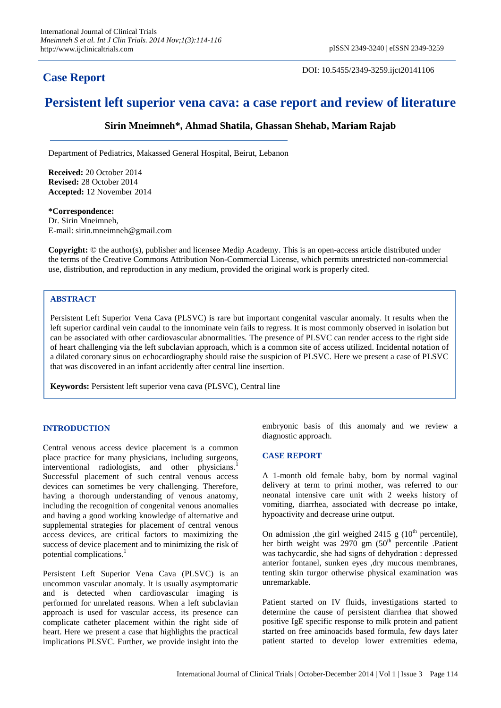## **Case Report**

DOI: 10.5455/2349-3259.ijct20141106

# **Persistent left superior vena cava: a case report and review of literature**

**Sirin Mneimneh\*, Ahmad Shatila, Ghassan Shehab, Mariam Rajab**

Department of Pediatrics, Makassed General Hospital, Beirut, Lebanon

**Received:** 20 October 2014 **Revised:** 28 October 2014 **Accepted:** 12 November 2014

**\*Correspondence:** Dr. Sirin Mneimneh, E-mail: sirin.mneimneh@gmail.com

**Copyright:** © the author(s), publisher and licensee Medip Academy. This is an open-access article distributed under the terms of the Creative Commons Attribution Non-Commercial License, which permits unrestricted non-commercial use, distribution, and reproduction in any medium, provided the original work is properly cited.

### **ABSTRACT**

Persistent Left Superior Vena Cava (PLSVC) is rare but important congenital vascular anomaly. It results when the left superior cardinal vein caudal to the innominate vein fails to regress. It is most commonly observed in isolation but can be associated with other cardiovascular abnormalities. The presence of PLSVC can render access to the right side of heart challenging via the left subclavian approach, which is a common site of access utilized. Incidental notation of a dilated coronary sinus on echocardiography should raise the suspicion of PLSVC. Here we present a case of PLSVC that was discovered in an infant accidently after central line insertion.

**Keywords:** Persistent left superior vena cava (PLSVC), Central line

## **INTRODUCTION**

Central venous access device placement is a common place practice for many physicians, including surgeons, interventional radiologists, and other physicians.<sup>1</sup> Successful placement of such central venous access devices can sometimes be very challenging. Therefore, having a thorough understanding of venous anatomy, including the recognition of congenital venous anomalies and having a good working knowledge of alternative and supplemental strategies for placement of central venous access devices, are critical factors to maximizing the success of device placement and to minimizing the risk of potential complications. 1

Persistent Left Superior Vena Cava (PLSVC) is an uncommon vascular anomaly. It is usually asymptomatic and is detected when cardiovascular imaging is performed for unrelated reasons. When a left subclavian approach is used for vascular access, its presence can complicate catheter placement within the right side of heart. Here we present a case that highlights the practical implications PLSVC. Further, we provide insight into the embryonic basis of this anomaly and we review a diagnostic approach.

#### **CASE REPORT**

A 1-month old female baby, born by normal vaginal delivery at term to primi mother, was referred to our neonatal intensive care unit with 2 weeks history of vomiting, diarrhea, associated with decrease po intake, hypoactivity and decrease urine output.

On admission ,the girl weighed 2415 g  $(10<sup>th</sup>$  percentile), her birth weight was 2970 gm (50<sup>th</sup> percentile .Patient was tachycardic, she had signs of dehydration : depressed anterior fontanel, sunken eyes ,dry mucous membranes, tenting skin turgor otherwise physical examination was unremarkable.

Patient started on IV fluids, investigations started to determine the cause of persistent diarrhea that showed positive IgE specific response to milk protein and patient started on free aminoacids based formula, few days later patient started to develop lower extremities edema,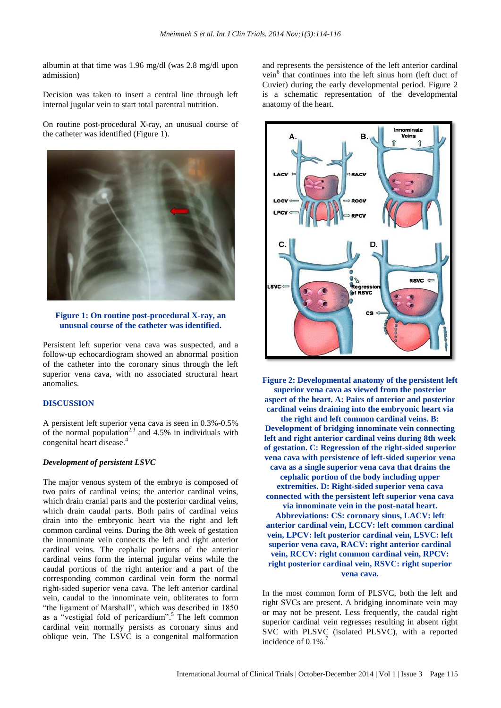albumin at that time was 1.96 mg/dl (was 2.8 mg/dl upon admission)

Decision was taken to insert a central line through left internal jugular vein to start total parentral nutrition.

On routine post-procedural X-ray, an unusual course of the catheter was identified (Figure 1).



**Figure 1: On routine post-procedural X-ray, an unusual course of the catheter was identified.** 

Persistent left superior vena cava was suspected, and a follow-up echocardiogram showed an abnormal position of the catheter into the coronary sinus through the left superior vena cava, with no associated structural heart anomalies.

#### **DISCUSSION**

A persistent left superior vena cava is seen in 0.3%-0.5% of the normal population<sup>2,3</sup> and 4.5% in individuals with congenital heart disease. 4

#### *Development of persistent LSVC*

The major venous system of the embryo is composed of two pairs of cardinal veins; the anterior cardinal veins, which drain cranial parts and the posterior cardinal veins, which drain caudal parts. Both pairs of cardinal veins drain into the embryonic heart via the right and left common cardinal veins. During the 8th week of gestation the innominate vein connects the left and right anterior cardinal veins. The cephalic portions of the anterior cardinal veins form the internal jugular veins while the caudal portions of the right anterior and a part of the corresponding common cardinal vein form the normal right-sided superior vena cava. The left anterior cardinal vein, caudal to the innominate vein, obliterates to form "the ligament of Marshall", which was described in 1850 as a "vestigial fold of pericardium". <sup>5</sup> The left common cardinal vein normally persists as coronary sinus and oblique vein. The LSVC is a congenital malformation and represents the persistence of the left anterior cardinal vein<sup>6</sup> that continues into the left sinus horn (left duct of Cuvier) during the early developmental period. Figure 2 is a schematic representation of the developmental anatomy of the heart.



**Figure 2: Developmental anatomy of the persistent left superior vena cava as viewed from the posterior aspect of the heart. A: Pairs of anterior and posterior cardinal veins draining into the embryonic heart via the right and left common cardinal veins. B: Development of bridging innominate vein connecting left and right anterior cardinal veins during 8th week of gestation. C: Regression of the right-sided superior vena cava with persistence of left-sided superior vena cava as a single superior vena cava that drains the cephalic portion of the body including upper extremities. D: Right-sided superior vena cava connected with the persistent left superior vena cava via innominate vein in the post-natal heart. Abbreviations: CS: coronary sinus, LACV: left anterior cardinal vein, LCCV: left common cardinal vein, LPCV: left posterior cardinal vein, LSVC: left superior vena cava, RACV: right anterior cardinal vein, RCCV: right common cardinal vein, RPCV: right posterior cardinal vein, RSVC: right superior vena cava.**

In the most common form of PLSVC, both the left and right SVCs are present. A bridging innominate vein may or may not be present. Less frequently, the caudal right superior cardinal vein regresses resulting in absent right SVC with PLSVC (isolated PLSVC), with a reported incidence of 0.1%.